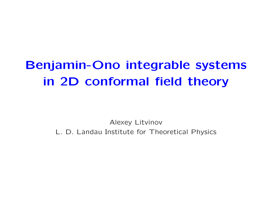# Benjamin-Ono integrable systemsin 2D conformal field theory

Alexey LitvinovL. D. Landau Institute for Theoretical Physics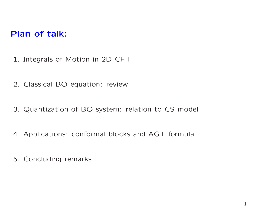## Plan of talk:

- 1. Integrals of Motion in 2D CFT
- 2. Classical BO equation: review
- 3. Quantization of BO system: relation to CS model
- 4. Applications: conformal blocks and AGT formula
- 5. Concluding remarks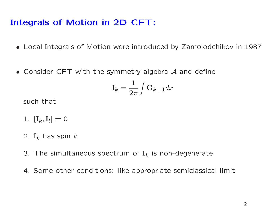# Integrals of Motion in 2D CFT:

- Local Integrals of Motion were introduced by Zamolodchikov in <sup>1987</sup>
- Consider CFT with the symmetry algebra  $\mathcal A$  and define

$$
\mathbf{I}_k = \frac{1}{2\pi} \int \mathbf{G}_{k+1} dx
$$

such that

- 1.  $[I_k, I_l] = 0$
- 2.  $\mathbf{I}_k$  has spin  $k$
- 3. The simultaneous spectrum of  ${\bf I}_k$  is non-degenerate
- 4. Some other conditions: like appropriate semiclassical limit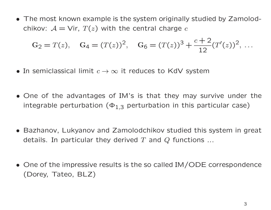• The most known example is the system originally studied by Zamolodchikov:  $\mathcal{A} = \mathsf{Vir},\ T(z)$  with the central charge  $c$ 

$$
G_2 = T(z)
$$
,  $G_4 = (T(z))^2$ ,  $G_6 = (T(z))^3 + \frac{c+2}{12}(T'(z))^2$ , ...

- In semiclassical limit  $c \to \infty$  it reduces to KdV system
- One of the advantages of IM's is that they may survive under theintegrable perturbation  $(\Phi_{1,3}$  perturbation in this particular case)
- Bazhanov, Lukyanov and Zamolodchikov studied this system in great details. In particular they derived  $T$  and  $Q$  functions  $\ldots$
- One of the impressive results is the so called IM/ODE correspondence(Dorey, Tateo, BLZ)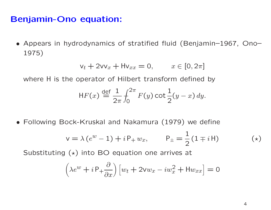#### Benjamin-Ono equation:

• Appears in hydrodynamics of stratified fluid (Benjamin–1967, Ono–1975)

$$
\mathsf{v}_t + 2\mathsf{v}\mathsf{v}_x + \mathsf{H}\mathsf{v}_{xx} = 0, \qquad x \in [0, 2\pi]
$$

where H is the operator of Hilbert transform defined by

$$
\mathsf{H} F(x) \stackrel{\text{def}}{=} \frac{1}{2\pi} \int_0^{2\pi} F(y) \cot \frac{1}{2}(y-x) \, dy.
$$

• Following Bock-Kruskal and Nakamura (1979) we define

$$
v = \lambda (e^{w} - 1) + i P_{+} w_{x}, \qquad P_{\pm} = \frac{1}{2} (1 \mp i H)
$$

Substituting  $(\star)$  into BO equation one arrives at

$$
\left(\lambda e^{w} + i P_{+} \frac{\partial}{\partial x}\right) \left[w_{t} + 2vw_{x} - iw_{x}^{2} + Hw_{xx}\right] = 0
$$

 $(\star)$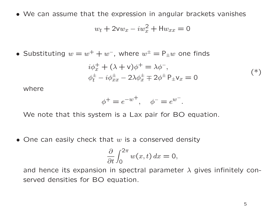• We can assume that the expression in angular brackets vanishes

$$
w_t + 2vw_x - iw_x^2 + Hw_{xx} = 0
$$

• Substituting  $w = w^+ + w^-$ , where  $w^{\pm} = P_{\pm}w$  one finds

$$
i\phi_x^+ + (\lambda + \nu)\phi^+ = \lambda\phi^-, \n\phi_t^+ - i\phi_{xx}^+ - 2\lambda\phi_x^+ \mp 2\phi^+ P_{\pm}v_x = 0
$$
\n
$$
(*)
$$

where

$$
\phi^+ = e^{-w^+}, \quad \phi^- = e^{w^-}.
$$

We note that this system is a Lax pair for BO equation.

 $\bullet$  One can easily check that  $w$  is a conserved density

$$
\frac{\partial}{\partial t} \int_0^{2\pi} w(x, t) \, dx = 0,
$$

and hence its expansion in spectral parameter  $\lambda$  gives infinitely conserved densities for BO equation.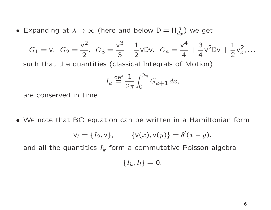• Expanding at  $\lambda \to \infty$  (here and below  $D = H \frac{d}{dx}$ ) we get

$$
G_1 = v
$$
,  $G_2 = \frac{v^2}{2}$ ,  $G_3 = \frac{v^3}{3} + \frac{1}{2}vDv$ ,  $G_4 = \frac{v^4}{4} + \frac{3}{4}v^2Dv + \frac{1}{2}v_x^2$ ,...

such that the quantities (classical Integrals of Motion)

$$
I_k \stackrel{\text{def}}{=} \frac{1}{2\pi} \int_0^{2\pi} G_{k+1} \, dx,
$$

are conserved in time.

• We note that BO equation can be written in <sup>a</sup> Hamiltonian form

$$
v_t = \{I_2, v\}, \qquad \{v(x), v(y)\} = \delta'(x - y),
$$

and all the quantities  $I_{k}$  form a commutative Poisson algebra

$$
\{I_k,I_l\}=0.
$$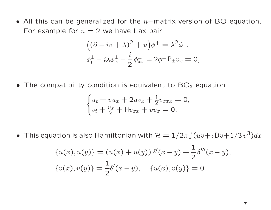• All this can be generalized for the  $n-$ matrix version of BO equation. For example for  $n = 2$  we have Lax pair

$$
((\partial - iv + \lambda)^2 + u)\phi^+ = \lambda^2 \phi^-,
$$
  

$$
\phi_t^{\pm} - i\lambda \phi_x^{\pm} - \frac{i}{2} \phi_{xx}^{\pm} \mp 2\phi^{\pm} P_{\pm} v_x = 0,
$$

• The compatibility condition is equivalent to  $BO<sub>2</sub>$  equation

$$
\begin{cases} u_t + v u_x + 2uv_x + \frac{1}{2}v_{xxx} = 0, \\ v_t + \frac{u_x}{2} + \text{H}v_{xx} + v v_x = 0, \end{cases}
$$

• This equation is also Hamiltonian with  $\mathcal{H} = 1/2\pi \int (uv+vDv+1/3\,v^3)dx$ 

$$
\{u(x), u(y)\} = (u(x) + u(y)) \delta'(x - y) + \frac{1}{2} \delta'''(x - y),
$$
  

$$
\{v(x), v(y)\} = \frac{1}{2} \delta'(x - y), \quad \{u(x), v(y)\} = 0.
$$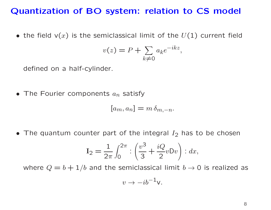## Quantization of BO system: relation to CS model

 $\bullet$  the field v $(x)$  is the semiclassical limit of the  $U(1)$  current field

$$
v(z) = P + \sum_{k \neq 0} a_k e^{-ikz},
$$

defined on <sup>a</sup> half-cylinder.

 $\bullet$  The Fourier components  $a_n$  $_n$  satisfy

$$
[a_m, a_n] = m \, \delta_{m,-n}.
$$

• The quantum counter part of the integral  $I_2$  has to be chosen

$$
I_2 = \frac{1}{2\pi} \int_0^{2\pi} \left( \frac{v^3}{3} + \frac{iQ}{2} v D v \right) \cdot dx,
$$

where  $Q=b+1/b$  and the semiclassical limit  $b\to 0$  is realized as

$$
v \to -ib^{-1}v.
$$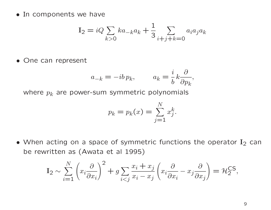• In components we have

$$
I_2 = iQ \sum_{k>0} ka_{-k}a_k + \frac{1}{3} \sum_{i+j+k=0} a_i a_j a_k
$$

• One can represent

$$
a_{-k} = -ib p_k, \qquad a_k = \frac{i}{b} k \frac{\partial}{\partial p_k},
$$

where  $\mathcal{p}_k$  are power-sum symmetric polynomials

$$
p_k = p_k(x) = \sum_{j=1}^{N} x_j^k
$$
.

• When acting on a space of symmetric functions the operator  $I_2$  can be rewritten as (Awata et al 1995)

$$
\mathbf{I}_2 \sim \sum_{i=1}^N \left( x_i \frac{\partial}{\partial x_i} \right)^2 + g \sum_{i < j} \frac{x_i + x_j}{x_i - x_j} \left( x_i \frac{\partial}{\partial x_i} - x_j \frac{\partial}{\partial x_j} \right) = \mathcal{H}_2^{\mathsf{CS}},
$$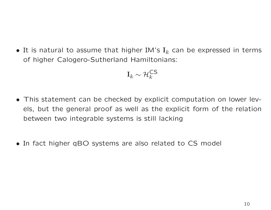$\bullet$  It is natural to assume that higher IM's  $\mathbf{I}_k$  can be expressed in terms of higher Calogero-Sutherland Hamiltonians:

$$
\mathbf{I}_k \sim \mathcal{H}_k^{\mathsf{CS}}
$$

- This statement can be checked by explicit computation on lower levels, but the general proof as well as the explicit form of the relationbetween two integrable systems is still lacking
- In fact higher qBO systems are also related to CS model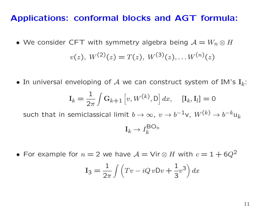#### Applications: conformal blocks and AGT formula:

• We consider CFT with symmetry algebra being  $\mathcal{A}=W_n\otimes H$ 

$$
v(z), W(2)(z) = T(z), W(3)(z), \ldots W(n)(z)
$$

 $\bullet$  In universal enveloping of  ${\mathcal A}$  we can construct system of IM's  ${\rm I}_k$ :

$$
\mathbf{I}_k = \frac{1}{2\pi} \int \mathbf{G}_{k+1} \left[ v, W^{(k)}, \mathbf{D} \right] dx, \quad [\mathbf{I}_k, \mathbf{I}_l] = 0
$$

such that in semiclassical limit  $b \to \infty$ ,  $v \to b^{-1}$ v,  $W^0$  $\,$  $k) \rightarrow b^{-k}$  $^{\prime\prime}$ u $_k$ 

$$
\mathbf{I}_k \to I_k^{\text{BO}_n}
$$

• For example for  $n = 2$  we have  $\mathcal{A} = \mathsf{Vir} \otimes H$  with  $c = 1 + 6Q^2$ 

$$
I_3 = \frac{1}{2\pi} \int \left( Tv - iQvDv + \frac{1}{3}v^3 \right) dx
$$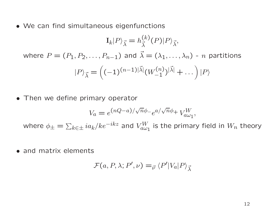• We can find simultaneous eigenfunctions

$$
\mathbf{I}_{k}|P\rangle_{\vec{\lambda}} = h_{\vec{\lambda}}^{(k)}(P)|P\rangle_{\vec{\lambda}},
$$
  
where  $P = (P_1, P_2, ..., P_{n-1})$  and  $\vec{\lambda} = (\lambda_1, ..., \lambda_n) - n$  partitions  

$$
|P\rangle_{\vec{\lambda}} = \left((-1)^{(n-1)|\vec{\lambda}|}(W_{-1}^{(n)})^{|\vec{\lambda}|} + ... \right)|P\rangle
$$

•Then we define primary operator

$$
V_a = e^{(nQ-a)/\sqrt{n}\phi_-}e^{a/\sqrt{n}\phi_+}V_{a\omega_1}^W,
$$
  
where  $\phi_{\pm} = \sum_{k \in \pm} i a_k / k e^{-ikz}$  and  $V_{a\omega_1}^W$  is the primary field in  $W_n$  theory

• and matrix elements

$$
\mathcal{F}(a, P, \lambda; P', \nu) =_{\vec{\nu}} \langle P'|V_a|P\rangle_{\vec{\lambda}}
$$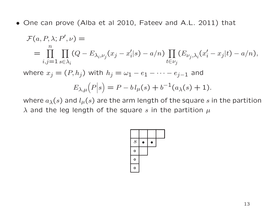• One can prove (Alba et al 2010, Fateev and A.L. 2011) that

$$
\mathcal{F}(a, P, \lambda; P', \nu) =
$$
\n
$$
= \prod_{i,j=1}^{n} \prod_{s \in \lambda_i} (Q - E_{\lambda_i, \nu_j}(x_j - x_i'|s) - a/n) \prod_{t \in \nu_j} (E_{\nu_j, \lambda_i}(x_i' - x_j|t) - a/n),
$$
\nwhere  $x_j = (P, h_j)$  with  $h_j = \omega_1 - e_1 - \cdots - e_{j-1}$  and\n
$$
E_{\lambda, \mu}(P|s) = P - b l_{\mu}(s) + b^{-1}(a_{\lambda}(s) + 1).
$$

where  $a_\lambda(s)$  and  $l_\mu(s)$  are the arm length of the square  $s$  in the partition  $\lambda$  and the leg length of the square  $s$  in the partition  $\mu$ 

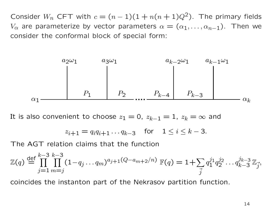Consider  $W_n$  CFT with  $c = (n-1)(1 + n(n+1)Q^2)$ . The primary fields  $V_{\alpha}$  are parameterize by vector parameters  $\alpha = (\alpha_1, \ldots, \alpha_{n-1})$ . Then we consider the conformal block of special form:



It is also convenient to choose  $z_1=0$ ,  $z_{k-1}=1$ ,  $z_k=\infty$  and

$$
z_{i+1} = q_i q_{i+1} \dots q_{k-3}
$$
 for  $1 \le i \le k-3$ .

The AGT relation claims that the function

$$
\mathbb{Z}(q) \stackrel{\text{def}}{=} \prod_{j=1}^{k-3} \prod_{m=j}^{k-3} (1 - q_j \dots q_m)^{a_{j+1}(Q - a_{m+2}/n)} \mathbb{F}(q) = 1 + \sum_{\vec{j}} q_1^{j_1} q_2^{j_2} \dots q_{k-3}^{j_{k-3}} \mathbb{Z}_{\vec{j}},
$$

coincides the instanton part of the Nekrasov partition function.